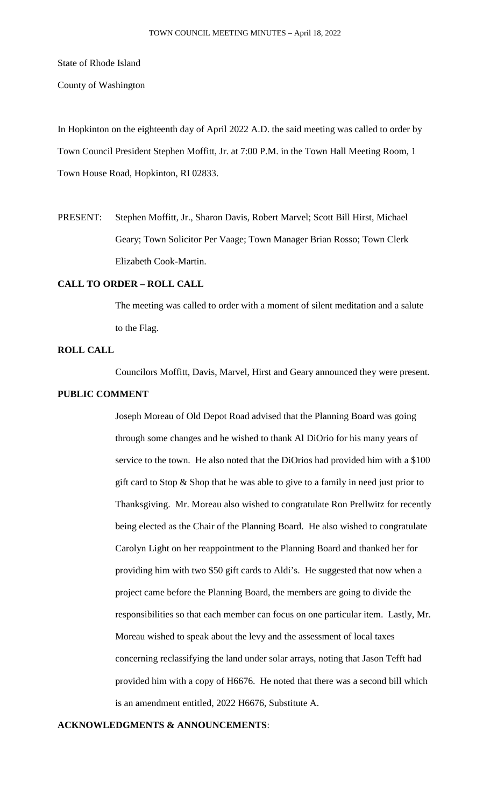State of Rhode Island

County of Washington

In Hopkinton on the eighteenth day of April 2022 A.D. the said meeting was called to order by Town Council President Stephen Moffitt, Jr. at 7:00 P.M. in the Town Hall Meeting Room, 1 Town House Road, Hopkinton, RI 02833.

PRESENT: Stephen Moffitt, Jr., Sharon Davis, Robert Marvel; Scott Bill Hirst, Michael Geary; Town Solicitor Per Vaage; Town Manager Brian Rosso; Town Clerk Elizabeth Cook-Martin.

# **CALL TO ORDER – ROLL CALL**

The meeting was called to order with a moment of silent meditation and a salute to the Flag.

# **ROLL CALL**

Councilors Moffitt, Davis, Marvel, Hirst and Geary announced they were present.

## **PUBLIC COMMENT**

Joseph Moreau of Old Depot Road advised that the Planning Board was going through some changes and he wished to thank Al DiOrio for his many years of service to the town. He also noted that the DiOrios had provided him with a \$100 gift card to Stop & Shop that he was able to give to a family in need just prior to Thanksgiving. Mr. Moreau also wished to congratulate Ron Prellwitz for recently being elected as the Chair of the Planning Board. He also wished to congratulate Carolyn Light on her reappointment to the Planning Board and thanked her for providing him with two \$50 gift cards to Aldi's. He suggested that now when a project came before the Planning Board, the members are going to divide the responsibilities so that each member can focus on one particular item. Lastly, Mr. Moreau wished to speak about the levy and the assessment of local taxes concerning reclassifying the land under solar arrays, noting that Jason Tefft had provided him with a copy of H6676. He noted that there was a second bill which is an amendment entitled, 2022 H6676, Substitute A.

### **ACKNOWLEDGMENTS & ANNOUNCEMENTS**: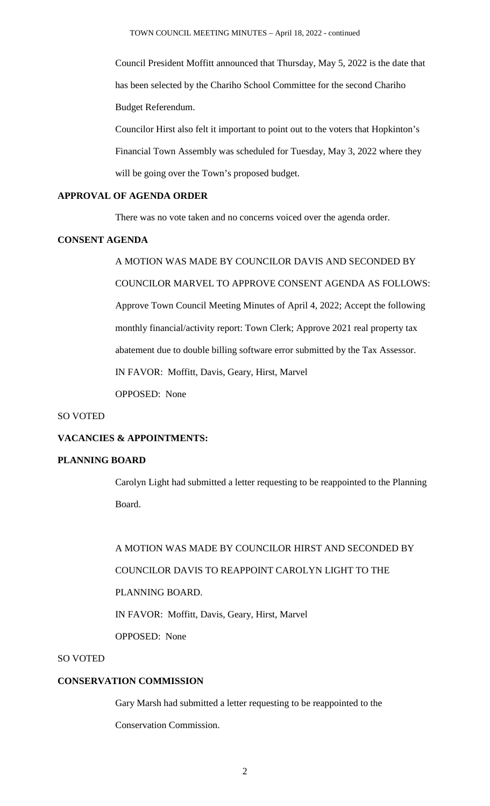Council President Moffitt announced that Thursday, May 5, 2022 is the date that has been selected by the Chariho School Committee for the second Chariho Budget Referendum.

Councilor Hirst also felt it important to point out to the voters that Hopkinton's Financial Town Assembly was scheduled for Tuesday, May 3, 2022 where they will be going over the Town's proposed budget.

## **APPROVAL OF AGENDA ORDER**

There was no vote taken and no concerns voiced over the agenda order.

## **CONSENT AGENDA**

A MOTION WAS MADE BY COUNCILOR DAVIS AND SECONDED BY COUNCILOR MARVEL TO APPROVE CONSENT AGENDA AS FOLLOWS: Approve Town Council Meeting Minutes of April 4, 2022; Accept the following monthly financial/activity report: Town Clerk; Approve 2021 real property tax abatement due to double billing software error submitted by the Tax Assessor. IN FAVOR: Moffitt, Davis, Geary, Hirst, Marvel OPPOSED: None

#### SO VOTED

## **VACANCIES & APPOINTMENTS:**

# **PLANNING BOARD**

Carolyn Light had submitted a letter requesting to be reappointed to the Planning Board.

A MOTION WAS MADE BY COUNCILOR HIRST AND SECONDED BY COUNCILOR DAVIS TO REAPPOINT CAROLYN LIGHT TO THE PLANNING BOARD. IN FAVOR: Moffitt, Davis, Geary, Hirst, Marvel OPPOSED: None

# SO VOTED

# **CONSERVATION COMMISSION**

Gary Marsh had submitted a letter requesting to be reappointed to the

Conservation Commission.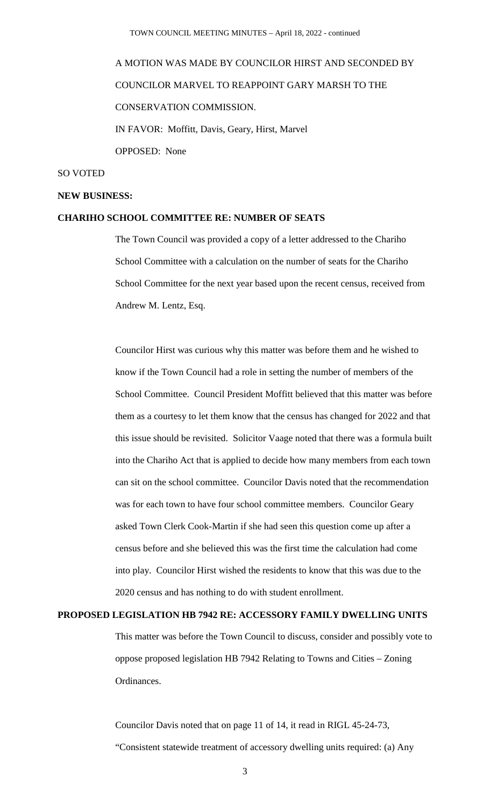# A MOTION WAS MADE BY COUNCILOR HIRST AND SECONDED BY COUNCILOR MARVEL TO REAPPOINT GARY MARSH TO THE CONSERVATION COMMISSION. IN FAVOR: Moffitt, Davis, Geary, Hirst, Marvel OPPOSED: None

#### SO VOTED

#### **NEW BUSINESS:**

#### **CHARIHO SCHOOL COMMITTEE RE: NUMBER OF SEATS**

The Town Council was provided a copy of a letter addressed to the Chariho School Committee with a calculation on the number of seats for the Chariho School Committee for the next year based upon the recent census, received from Andrew M. Lentz, Esq.

Councilor Hirst was curious why this matter was before them and he wished to know if the Town Council had a role in setting the number of members of the School Committee. Council President Moffitt believed that this matter was before them as a courtesy to let them know that the census has changed for 2022 and that this issue should be revisited. Solicitor Vaage noted that there was a formula built into the Chariho Act that is applied to decide how many members from each town can sit on the school committee. Councilor Davis noted that the recommendation was for each town to have four school committee members. Councilor Geary asked Town Clerk Cook-Martin if she had seen this question come up after a census before and she believed this was the first time the calculation had come into play. Councilor Hirst wished the residents to know that this was due to the 2020 census and has nothing to do with student enrollment.

### **PROPOSED LEGISLATION HB 7942 RE: ACCESSORY FAMILY DWELLING UNITS**

This matter was before the Town Council to discuss, consider and possibly vote to oppose proposed legislation HB 7942 Relating to Towns and Cities – Zoning Ordinances.

Councilor Davis noted that on page 11 of 14, it read in RIGL 45-24-73, "Consistent statewide treatment of accessory dwelling units required: (a) Any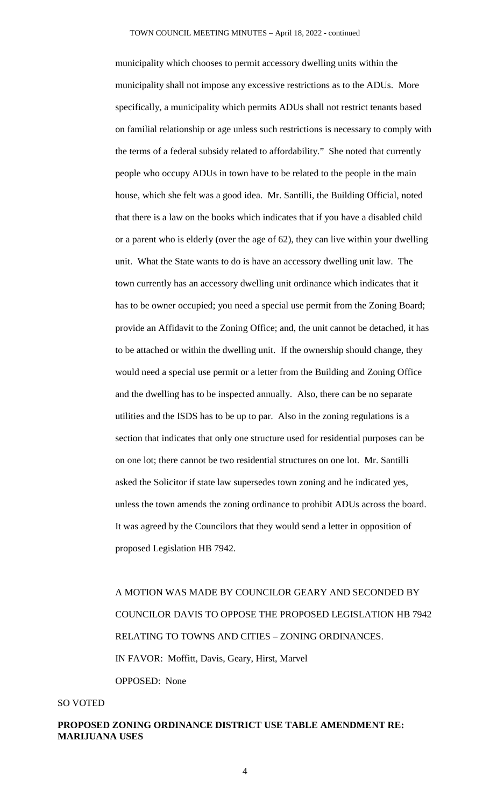municipality which chooses to permit accessory dwelling units within the municipality shall not impose any excessive restrictions as to the ADUs. More specifically, a municipality which permits ADUs shall not restrict tenants based on familial relationship or age unless such restrictions is necessary to comply with the terms of a federal subsidy related to affordability." She noted that currently people who occupy ADUs in town have to be related to the people in the main house, which she felt was a good idea. Mr. Santilli, the Building Official, noted that there is a law on the books which indicates that if you have a disabled child or a parent who is elderly (over the age of 62), they can live within your dwelling unit. What the State wants to do is have an accessory dwelling unit law. The town currently has an accessory dwelling unit ordinance which indicates that it has to be owner occupied; you need a special use permit from the Zoning Board; provide an Affidavit to the Zoning Office; and, the unit cannot be detached, it has to be attached or within the dwelling unit. If the ownership should change, they would need a special use permit or a letter from the Building and Zoning Office and the dwelling has to be inspected annually. Also, there can be no separate utilities and the ISDS has to be up to par. Also in the zoning regulations is a section that indicates that only one structure used for residential purposes can be on one lot; there cannot be two residential structures on one lot. Mr. Santilli asked the Solicitor if state law supersedes town zoning and he indicated yes, unless the town amends the zoning ordinance to prohibit ADUs across the board. It was agreed by the Councilors that they would send a letter in opposition of proposed Legislation HB 7942.

A MOTION WAS MADE BY COUNCILOR GEARY AND SECONDED BY COUNCILOR DAVIS TO OPPOSE THE PROPOSED LEGISLATION HB 7942 RELATING TO TOWNS AND CITIES – ZONING ORDINANCES. IN FAVOR: Moffitt, Davis, Geary, Hirst, Marvel OPPOSED: None

#### SO VOTED

# **PROPOSED ZONING ORDINANCE DISTRICT USE TABLE AMENDMENT RE: MARIJUANA USES**

4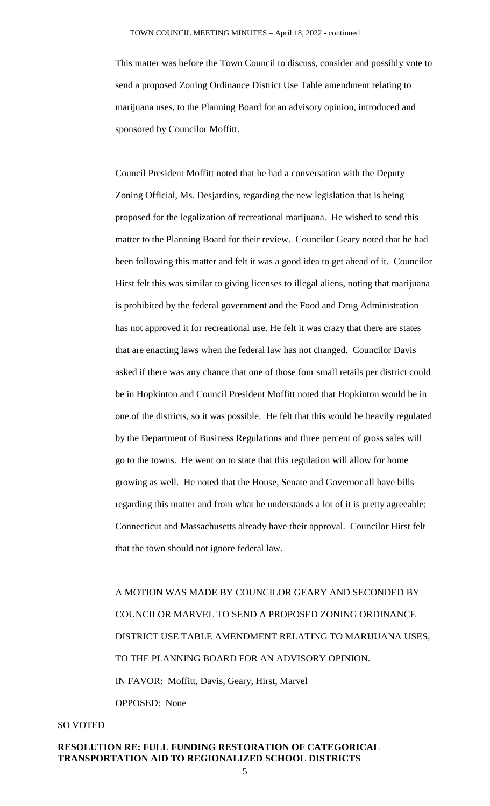This matter was before the Town Council to discuss, consider and possibly vote to send a proposed Zoning Ordinance District Use Table amendment relating to marijuana uses, to the Planning Board for an advisory opinion, introduced and sponsored by Councilor Moffitt.

Council President Moffitt noted that he had a conversation with the Deputy Zoning Official, Ms. Desjardins, regarding the new legislation that is being proposed for the legalization of recreational marijuana. He wished to send this matter to the Planning Board for their review. Councilor Geary noted that he had been following this matter and felt it was a good idea to get ahead of it. Councilor Hirst felt this was similar to giving licenses to illegal aliens, noting that marijuana is prohibited by the federal government and the Food and Drug Administration has not approved it for recreational use. He felt it was crazy that there are states that are enacting laws when the federal law has not changed. Councilor Davis asked if there was any chance that one of those four small retails per district could be in Hopkinton and Council President Moffitt noted that Hopkinton would be in one of the districts, so it was possible. He felt that this would be heavily regulated by the Department of Business Regulations and three percent of gross sales will go to the towns. He went on to state that this regulation will allow for home growing as well. He noted that the House, Senate and Governor all have bills regarding this matter and from what he understands a lot of it is pretty agreeable; Connecticut and Massachusetts already have their approval. Councilor Hirst felt that the town should not ignore federal law.

A MOTION WAS MADE BY COUNCILOR GEARY AND SECONDED BY COUNCILOR MARVEL TO SEND A PROPOSED ZONING ORDINANCE DISTRICT USE TABLE AMENDMENT RELATING TO MARIJUANA USES, TO THE PLANNING BOARD FOR AN ADVISORY OPINION. IN FAVOR: Moffitt, Davis, Geary, Hirst, Marvel OPPOSED: None

# SO VOTED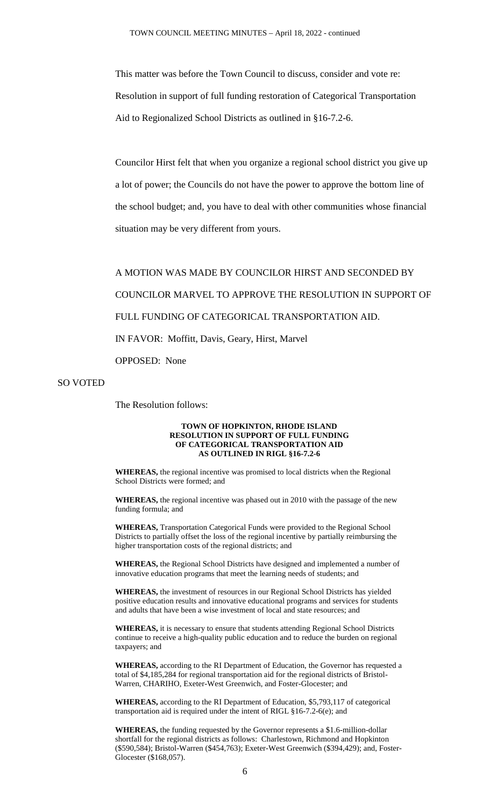This matter was before the Town Council to discuss, consider and vote re: Resolution in support of full funding restoration of Categorical Transportation Aid to Regionalized School Districts as outlined in §16-7.2-6.

Councilor Hirst felt that when you organize a regional school district you give up a lot of power; the Councils do not have the power to approve the bottom line of the school budget; and, you have to deal with other communities whose financial situation may be very different from yours.

A MOTION WAS MADE BY COUNCILOR HIRST AND SECONDED BY COUNCILOR MARVEL TO APPROVE THE RESOLUTION IN SUPPORT OF FULL FUNDING OF CATEGORICAL TRANSPORTATION AID. IN FAVOR: Moffitt, Davis, Geary, Hirst, Marvel OPPOSED: None

SO VOTED

The Resolution follows:

#### **TOWN OF HOPKINTON, RHODE ISLAND RESOLUTION IN SUPPORT OF FULL FUNDING OF CATEGORICAL TRANSPORTATION AID AS OUTLINED IN RIGL §16-7.2-6**

**WHEREAS,** the regional incentive was promised to local districts when the Regional School Districts were formed; and

**WHEREAS,** the regional incentive was phased out in 2010 with the passage of the new funding formula; and

**WHEREAS,** Transportation Categorical Funds were provided to the Regional School Districts to partially offset the loss of the regional incentive by partially reimbursing the higher transportation costs of the regional districts; and

**WHEREAS,** the Regional School Districts have designed and implemented a number of innovative education programs that meet the learning needs of students; and

**WHEREAS,** the investment of resources in our Regional School Districts has yielded positive education results and innovative educational programs and services for students and adults that have been a wise investment of local and state resources; and

**WHEREAS,** it is necessary to ensure that students attending Regional School Districts continue to receive a high-quality public education and to reduce the burden on regional taxpayers; and

**WHEREAS,** according to the RI Department of Education, the Governor has requested a total of \$4,185,284 for regional transportation aid for the regional districts of Bristol-Warren, CHARIHO, Exeter-West Greenwich, and Foster-Glocester; and

**WHEREAS,** according to the RI Department of Education, \$5,793,117 of categorical transportation aid is required under the intent of RIGL §16-7.2-6(e); and

**WHEREAS,** the funding requested by the Governor represents a \$1.6-million-dollar shortfall for the regional districts as follows: Charlestown, Richmond and Hopkinton (\$590,584); Bristol-Warren (\$454,763); Exeter-West Greenwich (\$394,429); and, Foster-Glocester (\$168,057).